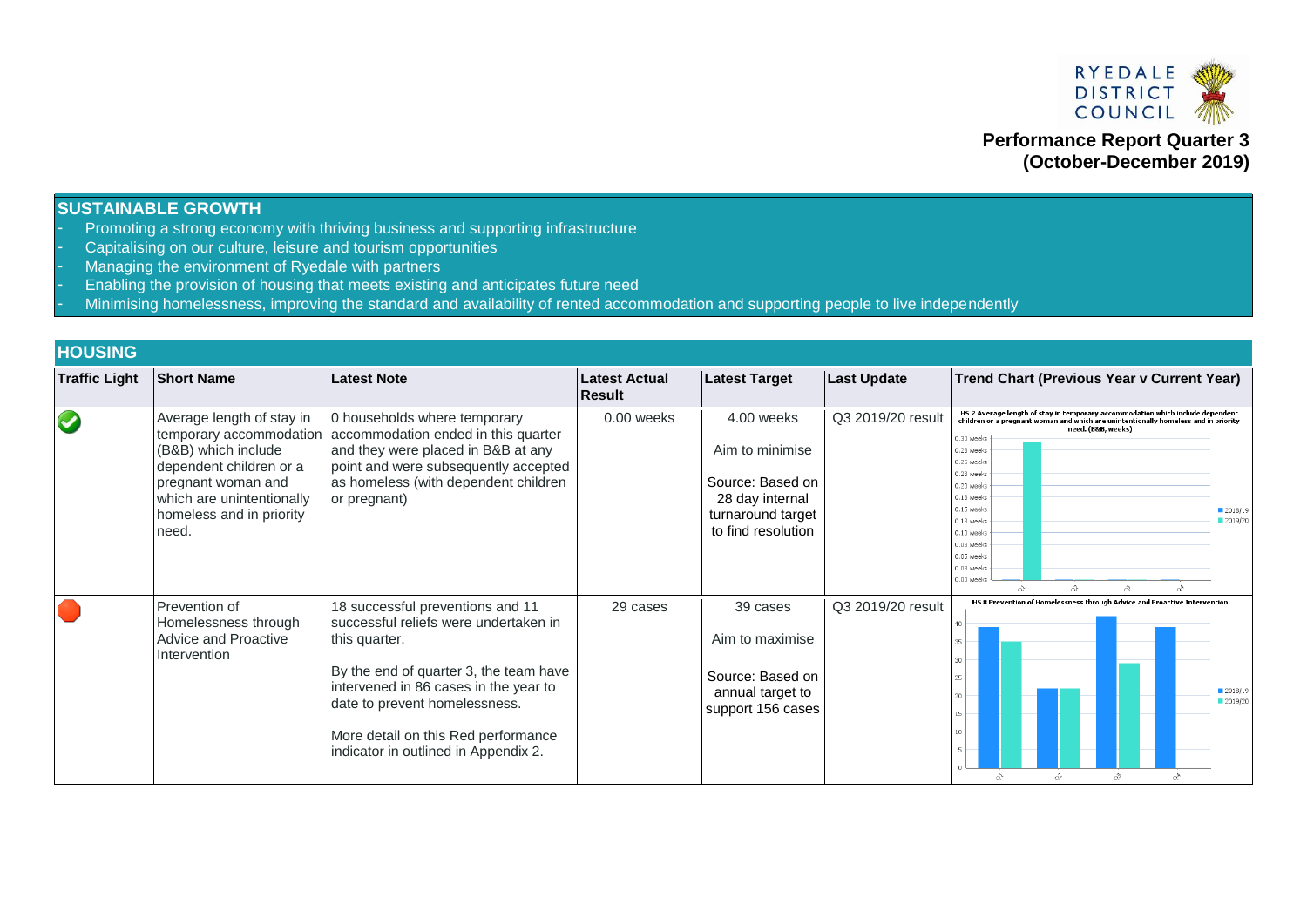

**Performance Report Quarter 3 (October-December 2019)**

#### **SUSTAINABLE GROWTH**

- Promoting a strong economy with thriving business and supporting infrastructure
- Capitalising on our culture, leisure and tourism opportunities
- Managing the environment of Ryedale with partners
- Enabling the provision of housing that meets existing and anticipates future need
- Minimising homelessness, improving the standard and availability of rented accommodation and supporting people to live independently

# **HOUSING**

| <b>Traffic Light</b> | <b>Short Name</b>                                                                                                                                                                              | <b>Latest Note</b>                                                                                                                                                                                                                                                                            | <b>Latest Actual</b><br>Result | <b>Latest Target</b>                                                                                            | <b>Last Update</b> | <b>Trend Chart (Previous Year v Current Year)</b>                                                                                                                                                                                                                                                                                                                                                                     |
|----------------------|------------------------------------------------------------------------------------------------------------------------------------------------------------------------------------------------|-----------------------------------------------------------------------------------------------------------------------------------------------------------------------------------------------------------------------------------------------------------------------------------------------|--------------------------------|-----------------------------------------------------------------------------------------------------------------|--------------------|-----------------------------------------------------------------------------------------------------------------------------------------------------------------------------------------------------------------------------------------------------------------------------------------------------------------------------------------------------------------------------------------------------------------------|
| $\blacklozenge$      | Average length of stay in<br>temporary accommodation<br>(B&B) which include<br>dependent children or a<br>pregnant woman and<br>which are unintentionally<br>homeless and in priority<br>need. | 0 households where temporary<br>accommodation ended in this quarter<br>and they were placed in B&B at any<br>point and were subsequently accepted<br>as homeless (with dependent children<br>or pregnant)                                                                                     | $0.00$ weeks                   | 4.00 weeks<br>Aim to minimise<br>Source: Based on<br>28 day internal<br>turnaround target<br>to find resolution | Q3 2019/20 result  | HS 2 Average length of stay in temporary accommodation which include dependent<br>children or a pregnant woman and which are unintentionally homeless and in priority<br>need. (B&B, weeks)<br>0.30 weeks<br>0.28 weeks<br>0.25 weeks<br>$0.23$ weeks<br>0.20 week<br>$0.18$ week<br>0.15 week<br>2018/19<br>2019/20<br>$0.13$ week<br>$0.10$ week<br>$0.08$ weeks<br>0.05 week<br>$0.03$ week<br>0.00 week<br>x<br>â |
|                      | Prevention of<br>Homelessness through<br><b>Advice and Proactive</b><br>Intervention                                                                                                           | 18 successful preventions and 11<br>successful reliefs were undertaken in<br>this quarter.<br>By the end of quarter 3, the team have<br>intervened in 86 cases in the year to<br>date to prevent homelessness.<br>More detail on this Red performance<br>indicator in outlined in Appendix 2. | 29 cases                       | 39 cases<br>Aim to maximise<br>Source: Based on<br>annual target to<br>support 156 cases                        | Q3 2019/20 result  | HS 8 Prevention of Homelessness through Advice and Proactive Intervention<br>30 -<br>$25 +$<br>2018/19<br>$20 +$<br>2019/20<br>â<br>ΩŽ                                                                                                                                                                                                                                                                                |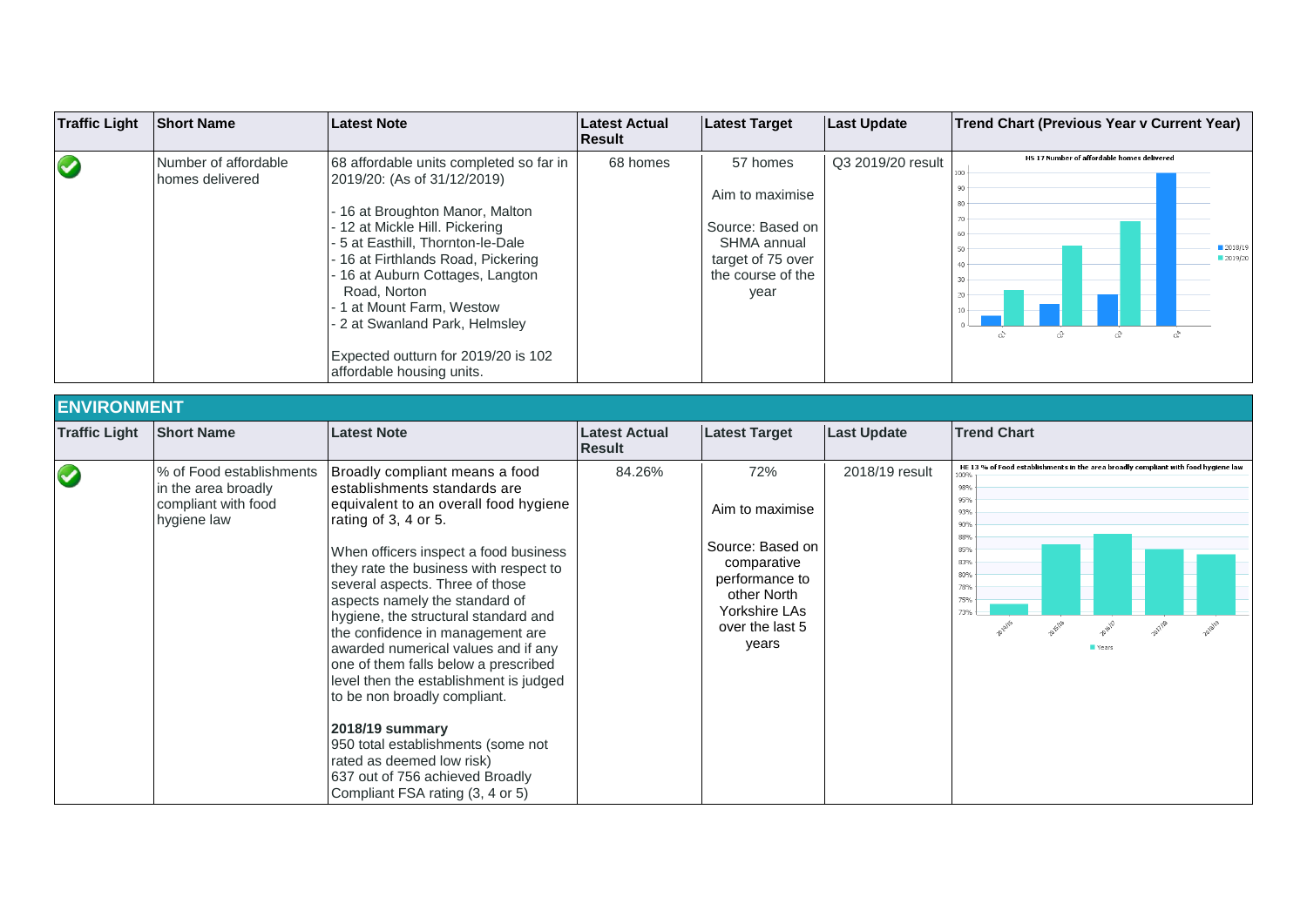| <b>Traffic Light</b> | <b>Short Name</b>                       | Latest Note                                                                                                                                                                                                                                                                                                                                                                                                   | Latest Actual<br><b>IResult</b> | <b>Latest Target</b>                                                                                             | <b>Last Update</b> | Trend Chart (Previous Year v Current Year)                             |
|----------------------|-----------------------------------------|---------------------------------------------------------------------------------------------------------------------------------------------------------------------------------------------------------------------------------------------------------------------------------------------------------------------------------------------------------------------------------------------------------------|---------------------------------|------------------------------------------------------------------------------------------------------------------|--------------------|------------------------------------------------------------------------|
| $\bigcirc$           | Number of affordable<br>homes delivered | 68 affordable units completed so far in<br>2019/20: (As of 31/12/2019)<br>- 16 at Broughton Manor, Malton<br>- 12 at Mickle Hill. Pickering<br>- 5 at Easthill, Thornton-le-Dale<br>- 16 at Firthlands Road, Pickering<br>- 16 at Auburn Cottages, Langton<br>Road, Norton<br>- 1 at Mount Farm, Westow<br>- 2 at Swanland Park, Helmsley<br>Expected outturn for 2019/20 is 102<br>affordable housing units. | 68 homes                        | 57 homes<br>Aim to maximise<br>Source: Based on<br>SHMA annual<br>target of 75 over<br>the course of the<br>year | Q3 2019/20 result  | HS 17 Number of affordable homes delivered<br>2018/19<br>2019/20<br>ó. |

| <b>ENVIRONMENT</b>   |                                                                                       |                                                                                                                                                                                                                                                                                                                                                                                                                                                                                                                                                                                                                                                                                                   |                                       |                                                                                                                                         |                    |                                                                                                                                                                                             |
|----------------------|---------------------------------------------------------------------------------------|---------------------------------------------------------------------------------------------------------------------------------------------------------------------------------------------------------------------------------------------------------------------------------------------------------------------------------------------------------------------------------------------------------------------------------------------------------------------------------------------------------------------------------------------------------------------------------------------------------------------------------------------------------------------------------------------------|---------------------------------------|-----------------------------------------------------------------------------------------------------------------------------------------|--------------------|---------------------------------------------------------------------------------------------------------------------------------------------------------------------------------------------|
| <b>Traffic Light</b> | <b>Short Name</b>                                                                     | <b>Latest Note</b>                                                                                                                                                                                                                                                                                                                                                                                                                                                                                                                                                                                                                                                                                | <b>Latest Actual</b><br><b>Result</b> | <b>Latest Target</b>                                                                                                                    | <b>Last Update</b> | <b>Trend Chart</b>                                                                                                                                                                          |
| $\bullet$            | % of Food establishments<br>in the area broadly<br>compliant with food<br>hygiene law | Broadly compliant means a food<br>lestablishments standards are<br>equivalent to an overall food hygiene<br>rating of 3, 4 or 5.<br>When officers inspect a food business<br>they rate the business with respect to<br>several aspects. Three of those<br>aspects namely the standard of<br>hygiene, the structural standard and<br>the confidence in management are<br>awarded numerical values and if any<br>one of them falls below a prescribed<br>level then the establishment is judged<br>to be non broadly compliant.<br><b>2018/19 summary</b><br>950 total establishments (some not<br>rated as deemed low risk)<br>637 out of 756 achieved Broadly<br>Compliant FSA rating (3, 4 or 5) | 84.26%                                | 72%<br>Aim to maximise<br>Source: Based on<br>comparative<br>performance to<br>other North<br>Yorkshire LAs<br>over the last 5<br>years | 2018/19 result     | HE 13 % of Food establishments in the area broadly compliant with food hygiene law<br>100%<br>98%<br>95%<br>93%<br>90%<br>88%<br>85%<br>83%<br>80%<br>78%<br>75%<br>73%<br>2019/19<br>Years |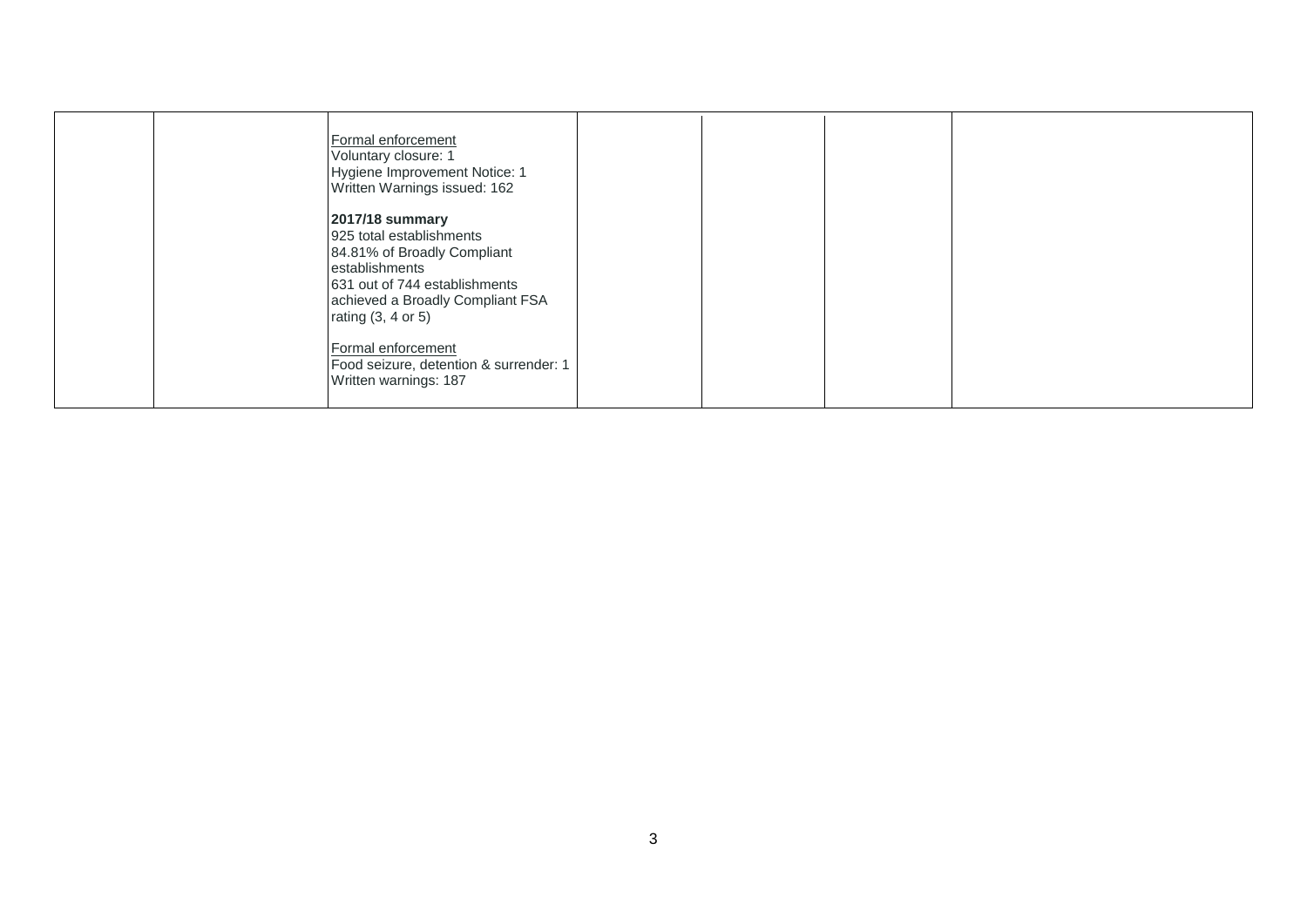| Formal enforcement<br>Voluntary closure: 1<br>Hygiene Improvement Notice: 1<br>Written Warnings issued: 162                                                                                 |  |
|---------------------------------------------------------------------------------------------------------------------------------------------------------------------------------------------|--|
| 2017/18 summary<br>925 total establishments<br>84.81% of Broadly Compliant<br>establishments<br>631 out of 744 establishments<br>achieved a Broadly Compliant FSA<br>rating $(3, 4$ or $5)$ |  |
| Formal enforcement<br>Food seizure, detention & surrender: 1<br>Written warnings: 187                                                                                                       |  |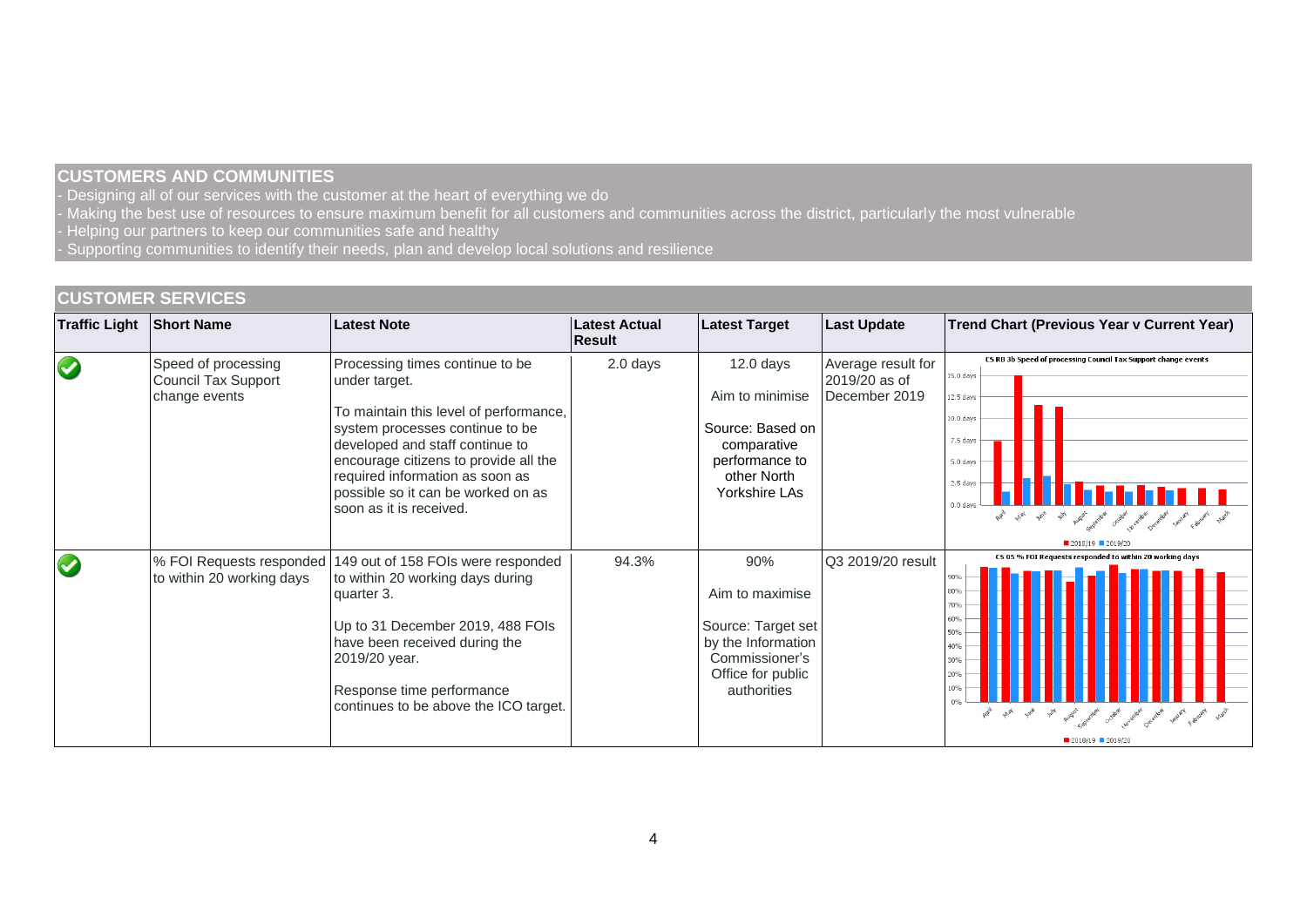# **CUSTOMERS AND COMMUNITIES**

- Designing all of our services with the customer at the heart of everything we do

- Making the best use of resources to ensure maximum benefit for all customers and communities across the district, particularly the most vulnerable
- Helping our partners to keep our communities safe and healthy
- Supporting communities to identify their needs, plan and develop local solutions and resilience

## **CUSTOMER SERVICES**

| <b>Traffic Light</b> | <b>Short Name</b>                                                  | <b>Latest Note</b>                                                                                                                                                                                                                                                                                            | <b>Latest Actual</b><br><b>Result</b> | Latest Target                                                                                                            | <b>Last Update</b>                                   | Trend Chart (Previous Year v Current Year)                                                                                                                                                                                         |
|----------------------|--------------------------------------------------------------------|---------------------------------------------------------------------------------------------------------------------------------------------------------------------------------------------------------------------------------------------------------------------------------------------------------------|---------------------------------------|--------------------------------------------------------------------------------------------------------------------------|------------------------------------------------------|------------------------------------------------------------------------------------------------------------------------------------------------------------------------------------------------------------------------------------|
| $\bigcirc$           | Speed of processing<br><b>Council Tax Support</b><br>change events | Processing times continue to be<br>under target.<br>To maintain this level of performance,<br>system processes continue to be<br>developed and staff continue to<br>encourage citizens to provide all the<br>required information as soon as<br>possible so it can be worked on as<br>soon as it is received. | 2.0 days                              | $12.0$ days<br>Aim to minimise<br>Source: Based on<br>comparative<br>performance to<br>other North<br>Yorkshire LAs      | Average result for<br>2019/20 as of<br>December 2019 | CS RB 3b Speed of processing Council Tax Support change events<br>15.0 days<br>12.5 days<br>10.0 days<br>7.5 days<br>5.0 days<br>2.5 days<br>$0.0$ day<br>and what you will provide each provide output of your project except and |
| $\bigcirc$           | % FOI Requests responded<br>to within 20 working days              | 149 out of 158 FOIs were responded<br>to within 20 working days during<br>quarter 3.<br>Up to 31 December 2019, 488 FOIs<br>have been received during the<br>2019/20 year.<br>Response time performance<br>continues to be above the ICO target.                                                              | 94.3%                                 | 90%<br>Aim to maximise<br>Source: Target set<br>by the Information<br>Commissioner's<br>Office for public<br>authorities | Q3 2019/20 result                                    | CS 05 % FOI Requests responded to within 20 working days<br><b>BO%</b><br>70%<br>50%<br>$50\%$ .<br>40%<br>30%<br>20%<br>10%<br>and the state and and postal and the couple and allowed problem problem and<br>■ 2018/19 ■ 2019/20 |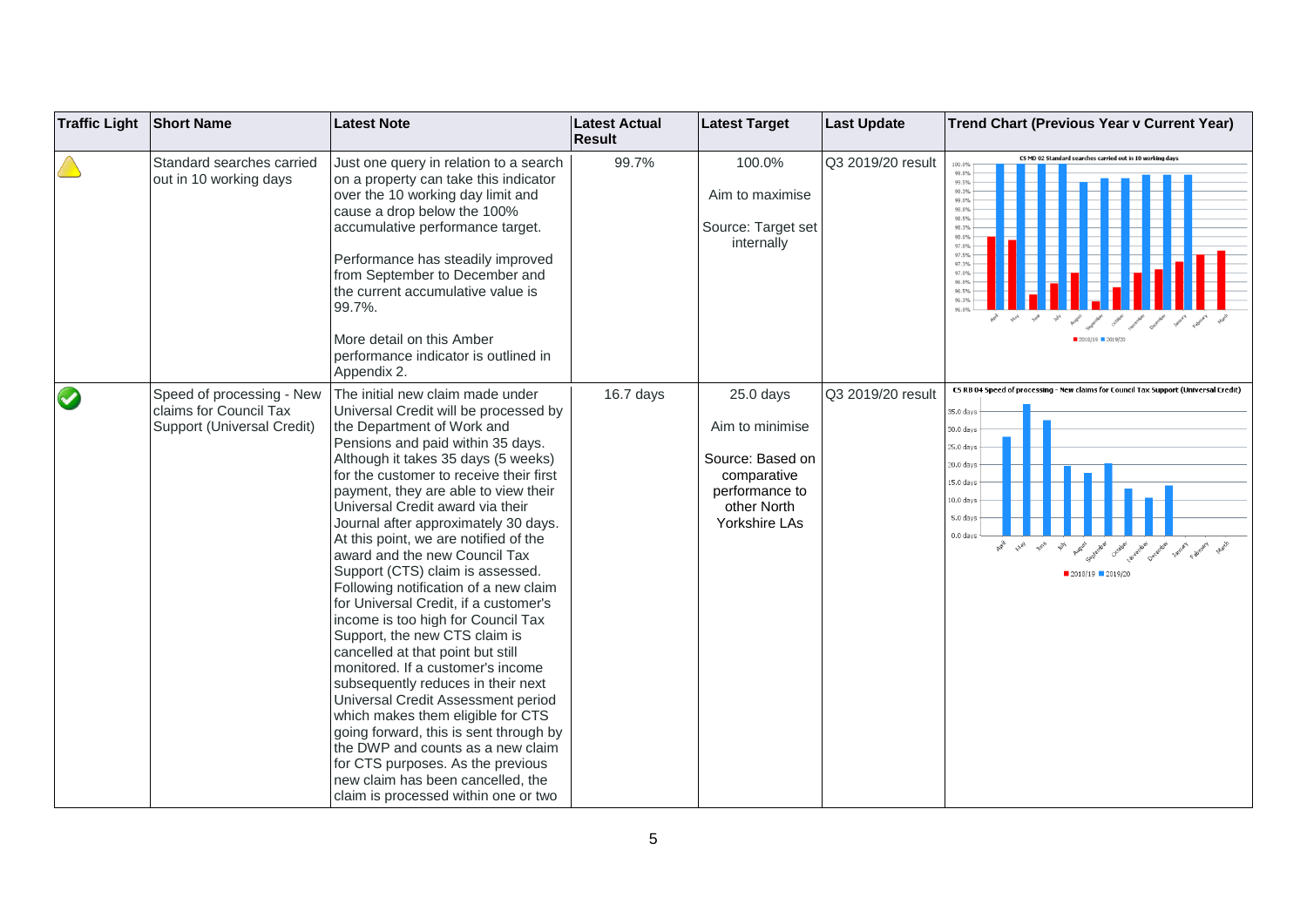| <b>Traffic Light</b> | <b>Short Name</b>                                                                 | Latest Note                                                                                                                                                                                                                                                                                                                                                                                                                                                                                                                                                                                                                                                                                                                                                                                                                                                                                                                                                                                                           | <b>Latest Actual</b><br><b>Result</b> | <b>Latest Target</b>                                                                                                | <b>Last Update</b> | <b>Trend Chart (Previous Year v Current Year)</b>                                                                                                                                                                                            |
|----------------------|-----------------------------------------------------------------------------------|-----------------------------------------------------------------------------------------------------------------------------------------------------------------------------------------------------------------------------------------------------------------------------------------------------------------------------------------------------------------------------------------------------------------------------------------------------------------------------------------------------------------------------------------------------------------------------------------------------------------------------------------------------------------------------------------------------------------------------------------------------------------------------------------------------------------------------------------------------------------------------------------------------------------------------------------------------------------------------------------------------------------------|---------------------------------------|---------------------------------------------------------------------------------------------------------------------|--------------------|----------------------------------------------------------------------------------------------------------------------------------------------------------------------------------------------------------------------------------------------|
|                      | Standard searches carried<br>out in 10 working days                               | Just one query in relation to a search<br>on a property can take this indicator<br>over the 10 working day limit and<br>cause a drop below the 100%<br>accumulative performance target.<br>Performance has steadily improved<br>from September to December and<br>the current accumulative value is<br>99.7%.<br>More detail on this Amber<br>performance indicator is outlined in<br>Appendix 2.                                                                                                                                                                                                                                                                                                                                                                                                                                                                                                                                                                                                                     | 99.7%                                 | 100.0%<br>Aim to maximise<br>Source: Target set<br>internally                                                       | Q3 2019/20 result  | CS MD 02 Standard searches carried out in 10 working days<br>100.0%<br>99.8%<br>99.5%<br>99.3%<br>99.0%<br>98.8%<br>98.5%<br>98.3%<br>98.0%<br>97.8%<br>97.5%<br>97.3%<br>97.0%<br>96.8%<br>96.5%<br>96.39<br>2018/19 2019/20                |
| $\bullet$            | Speed of processing - New<br>claims for Council Tax<br>Support (Universal Credit) | The initial new claim made under<br>Universal Credit will be processed by<br>the Department of Work and<br>Pensions and paid within 35 days.<br>Although it takes 35 days (5 weeks)<br>for the customer to receive their first<br>payment, they are able to view their<br>Universal Credit award via their<br>Journal after approximately 30 days.<br>At this point, we are notified of the<br>award and the new Council Tax<br>Support (CTS) claim is assessed.<br>Following notification of a new claim<br>for Universal Credit, if a customer's<br>income is too high for Council Tax<br>Support, the new CTS claim is<br>cancelled at that point but still<br>monitored. If a customer's income<br>subsequently reduces in their next<br>Universal Credit Assessment period<br>which makes them eligible for CTS<br>going forward, this is sent through by<br>the DWP and counts as a new claim<br>for CTS purposes. As the previous<br>new claim has been cancelled, the<br>claim is processed within one or two | 16.7 days                             | $25.0$ days<br>Aim to minimise<br>Source: Based on<br>comparative<br>performance to<br>other North<br>Yorkshire LAs | Q3 2019/20 result  | CS RB 04 Speed of processing - New claims for Council Tax Support (Universal Credit)<br>35.0 days<br>0.0 days<br>5.0 days<br>0.0 days<br>5.0 days<br>0.0 days<br>5.0 days<br>0.0 days<br>Ave And Are<br>$\gamma_{\!N\!f}$<br>2018/19 2019/20 |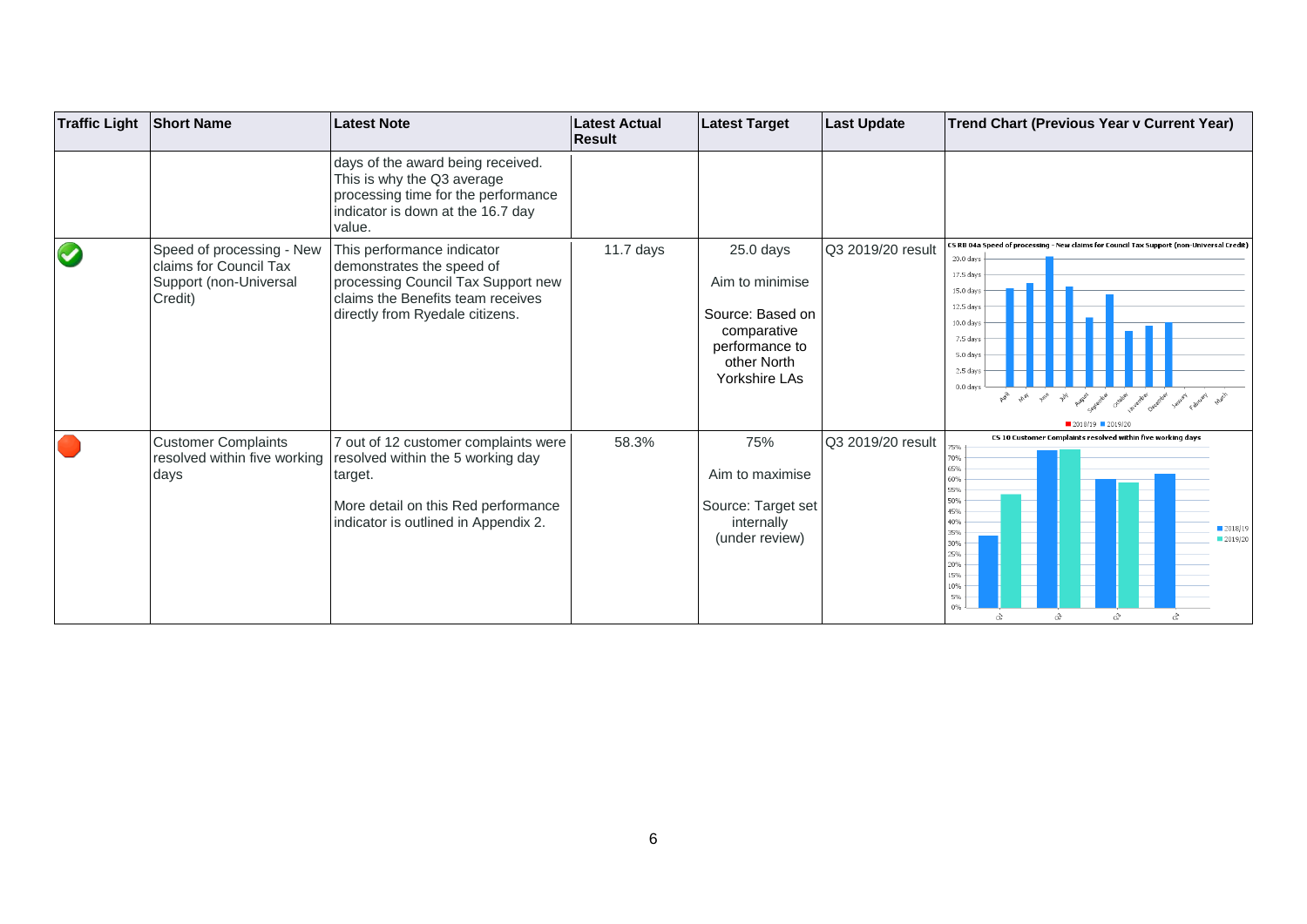| <b>Traffic Light</b> | <b>Short Name</b>                                                                        | <b>Latest Note</b>                                                                                                                                                    | <b>Latest Actual</b><br><b>Result</b> | <b>Latest Target</b>                                                                                                | <b>Last Update</b> | Trend Chart (Previous Year v Current Year)                                                                                                                                                                                                                                                                                              |
|----------------------|------------------------------------------------------------------------------------------|-----------------------------------------------------------------------------------------------------------------------------------------------------------------------|---------------------------------------|---------------------------------------------------------------------------------------------------------------------|--------------------|-----------------------------------------------------------------------------------------------------------------------------------------------------------------------------------------------------------------------------------------------------------------------------------------------------------------------------------------|
|                      |                                                                                          | days of the award being received.<br>This is why the Q3 average<br>processing time for the performance<br>indicator is down at the 16.7 day<br>value.                 |                                       |                                                                                                                     |                    |                                                                                                                                                                                                                                                                                                                                         |
| $\blacktriangledown$ | Speed of processing - New<br>claims for Council Tax<br>Support (non-Universal<br>Credit) | This performance indicator<br>demonstrates the speed of<br>processing Council Tax Support new<br>claims the Benefits team receives<br>directly from Ryedale citizens. | $11.7$ days                           | $25.0$ days<br>Aim to minimise<br>Source: Based on<br>comparative<br>performance to<br>other North<br>Yorkshire LAs | Q3 2019/20 result  | [5] RB 04a Speed of processing - New claims for Council Tax Support (non-Universal Credit<br>20.0 days<br>17.5 days<br>15.0 days<br>12.5 days<br>$10.0$ davs<br>7.5 days<br>5.0 days<br>2.5 day<br>0.0 <sub>day</sub><br>and what you are all paint and the collate and the painting painting of the state of the<br>■ 2018/19 ■ 2019/2 |
|                      | <b>Customer Complaints</b><br>resolved within five working<br>days                       | 7 out of 12 customer complaints were<br>resolved within the 5 working day<br>target.<br>More detail on this Red performance<br>indicator is outlined in Appendix 2.   | 58.3%                                 | 75%<br>Aim to maximise<br>Source: Target set<br>internally<br>(under review)                                        | Q3 2019/20 result  | CS 10 Customer Complaints resolved within five working days<br>75%<br>70%<br>65%<br>60%<br>55%<br>50%<br>45%<br>40%<br>■ 2018/19<br>35%<br>2019/20<br>30%<br>25%<br>20%<br>15%<br>10%<br>5%<br>$0\%$<br>ੇ<br>x<br>ο?                                                                                                                    |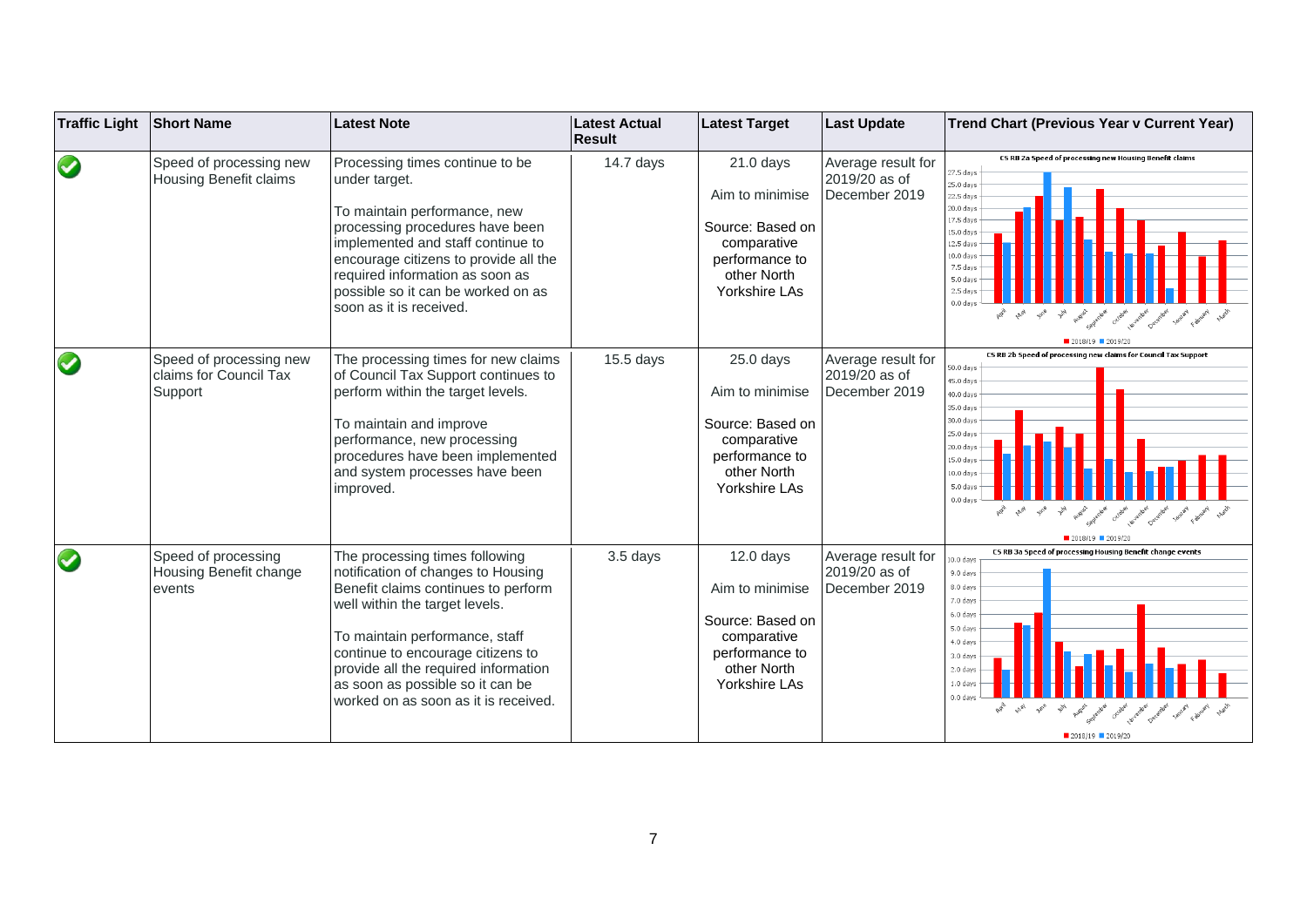| <b>Traffic Light</b> | <b>Short Name</b>                                            | <b>Latest Note</b>                                                                                                                                                                                                                                                                                                                       | <b>Latest Actual</b><br><b>Result</b> | <b>Latest Target</b>                                                                                                | <b>Last Update</b>                                   | Trend Chart (Previous Year v Current Year)                                                                                                                                                                                                                                                                                                                                               |
|----------------------|--------------------------------------------------------------|------------------------------------------------------------------------------------------------------------------------------------------------------------------------------------------------------------------------------------------------------------------------------------------------------------------------------------------|---------------------------------------|---------------------------------------------------------------------------------------------------------------------|------------------------------------------------------|------------------------------------------------------------------------------------------------------------------------------------------------------------------------------------------------------------------------------------------------------------------------------------------------------------------------------------------------------------------------------------------|
| $\bigcirc$           | Speed of processing new<br>Housing Benefit claims            | Processing times continue to be<br>under target.<br>To maintain performance, new<br>processing procedures have been<br>implemented and staff continue to<br>encourage citizens to provide all the<br>required information as soon as<br>possible so it can be worked on as<br>soon as it is received.                                    | $14.7$ days                           | $21.0$ days<br>Aim to minimise<br>Source: Based on<br>comparative<br>performance to<br>other North<br>Yorkshire LAs | Average result for<br>2019/20 as of<br>December 2019 | CS RB 2a Speed of processing new Housing Benefit claims<br>27.5 days<br>25.0 days<br>22.5 days<br>20.0 days<br>17.5 days<br>15.0 days<br>12.5 days<br>10.0 days<br>7.5 days<br>5.0 days<br>2.5 <sub>day</sub><br>$0.0$ day<br>$\mathcal{A}_{\mathcal{U}_\theta}$ $\mathcal{A}_{\mathcal{U}_\theta}$<br>Austral contents of change was deeper and properly world was<br>$2018/19$ 2019/20 |
| $\bigcirc$           | Speed of processing new<br>claims for Council Tax<br>Support | The processing times for new claims<br>of Council Tax Support continues to<br>perform within the target levels.<br>To maintain and improve<br>performance, new processing<br>procedures have been implemented<br>and system processes have been<br>improved.                                                                             | $15.5$ days                           | $25.0$ days<br>Aim to minimise<br>Source: Based on<br>comparative<br>performance to<br>other North<br>Yorkshire LAs | Average result for<br>2019/20 as of<br>December 2019 | CS RB 2b Speed of processing new claims for Council Tax Support<br>50.0 days<br>45.0 days<br>40.0 days<br>35.0 days<br>30.0 days<br>25.0 days<br>$20.0$ days<br>15.0 days<br>10.0 days<br>5.0 <sub>day</sub><br>0.0 days<br>$\mathcal{P}_{\mathcal{U}_{\mathcal{G}}}$<br>August of cross of average perception have a society that<br>2018/19                                            |
| $\bigcirc$           | Speed of processing<br>Housing Benefit change<br>events      | The processing times following<br>notification of changes to Housing<br>Benefit claims continues to perform<br>well within the target levels.<br>To maintain performance, staff<br>continue to encourage citizens to<br>provide all the required information<br>as soon as possible so it can be<br>worked on as soon as it is received. | 3.5 days                              | $12.0$ days<br>Aim to minimise<br>Source: Based on<br>comparative<br>performance to<br>other North<br>Yorkshire LAs | Average result for<br>2019/20 as of<br>December 2019 | CS RB 3a Speed of processing Housing Benefit change events<br>10.0 days<br>9.0 days<br>8.0 days<br>7.0 days<br>6.0 days<br>5.0 days<br>4.0 days<br>3.0 days<br>2.0 days<br>$1.0$ dav:<br>0.0 days<br>■ 2018/19 ■ 2019/20                                                                                                                                                                 |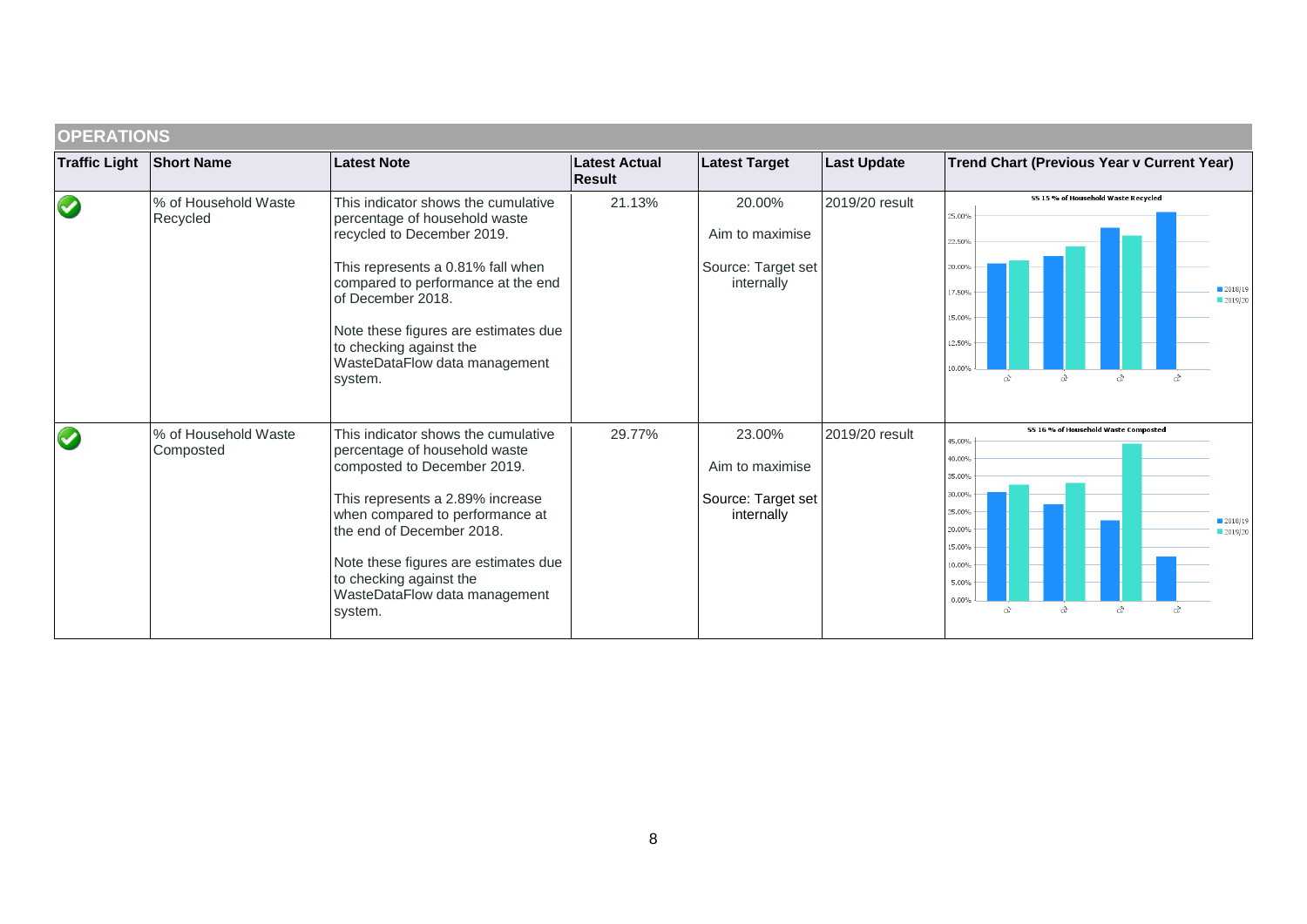|                      | <b>OPERATIONS</b>                 |                                                                                                                                                                                                                                                                                                                        |                                |                                                               |                    |                                                                                                                                                                                                               |  |  |  |  |
|----------------------|-----------------------------------|------------------------------------------------------------------------------------------------------------------------------------------------------------------------------------------------------------------------------------------------------------------------------------------------------------------------|--------------------------------|---------------------------------------------------------------|--------------------|---------------------------------------------------------------------------------------------------------------------------------------------------------------------------------------------------------------|--|--|--|--|
| <b>Traffic Light</b> | <b>Short Name</b>                 | <b>Latest Note</b>                                                                                                                                                                                                                                                                                                     | Latest Actual<br><b>Result</b> | <b>Latest Target</b>                                          | <b>Last Update</b> | Trend Chart (Previous Year v Current Year)                                                                                                                                                                    |  |  |  |  |
|                      | % of Household Waste<br>Recycled  | This indicator shows the cumulative<br>percentage of household waste<br>recycled to December 2019.<br>This represents a 0.81% fall when<br>compared to performance at the end<br>of December 2018.<br>Note these figures are estimates due<br>to checking against the<br>WasteDataFlow data management<br>system.      | 21.13%                         | 20.00%<br>Aim to maximise<br>Source: Target set<br>internally | 2019/20 result     | SS 15 % of Household Waste Recycled<br>25.00%<br>22.50%<br>20.00%<br>2018/19<br>17.50%<br>2019/20<br>15.00%<br>2.50%<br>10.00%<br>2<br>$\alpha^{\!\!\searrow}$<br>a                                           |  |  |  |  |
|                      | % of Household Waste<br>Composted | This indicator shows the cumulative<br>percentage of household waste<br>composted to December 2019.<br>This represents a 2.89% increase<br>when compared to performance at<br>the end of December 2018.<br>Note these figures are estimates due<br>to checking against the<br>WasteDataFlow data management<br>system. | 29.77%                         | 23.00%<br>Aim to maximise<br>Source: Target set<br>internally | 2019/20 result     | 55 16 % of Household Waste Composted<br>45.00%<br>40.00%<br>35.00%<br>30.00%<br>25.00%<br>2018/19<br>20.00%<br>■ 2019/20<br>15.00%<br>10.00%<br>5.00%<br>0.00%<br>$\alpha$<br>x<br>ै<br>$\alpha^{\mathbf{N}}$ |  |  |  |  |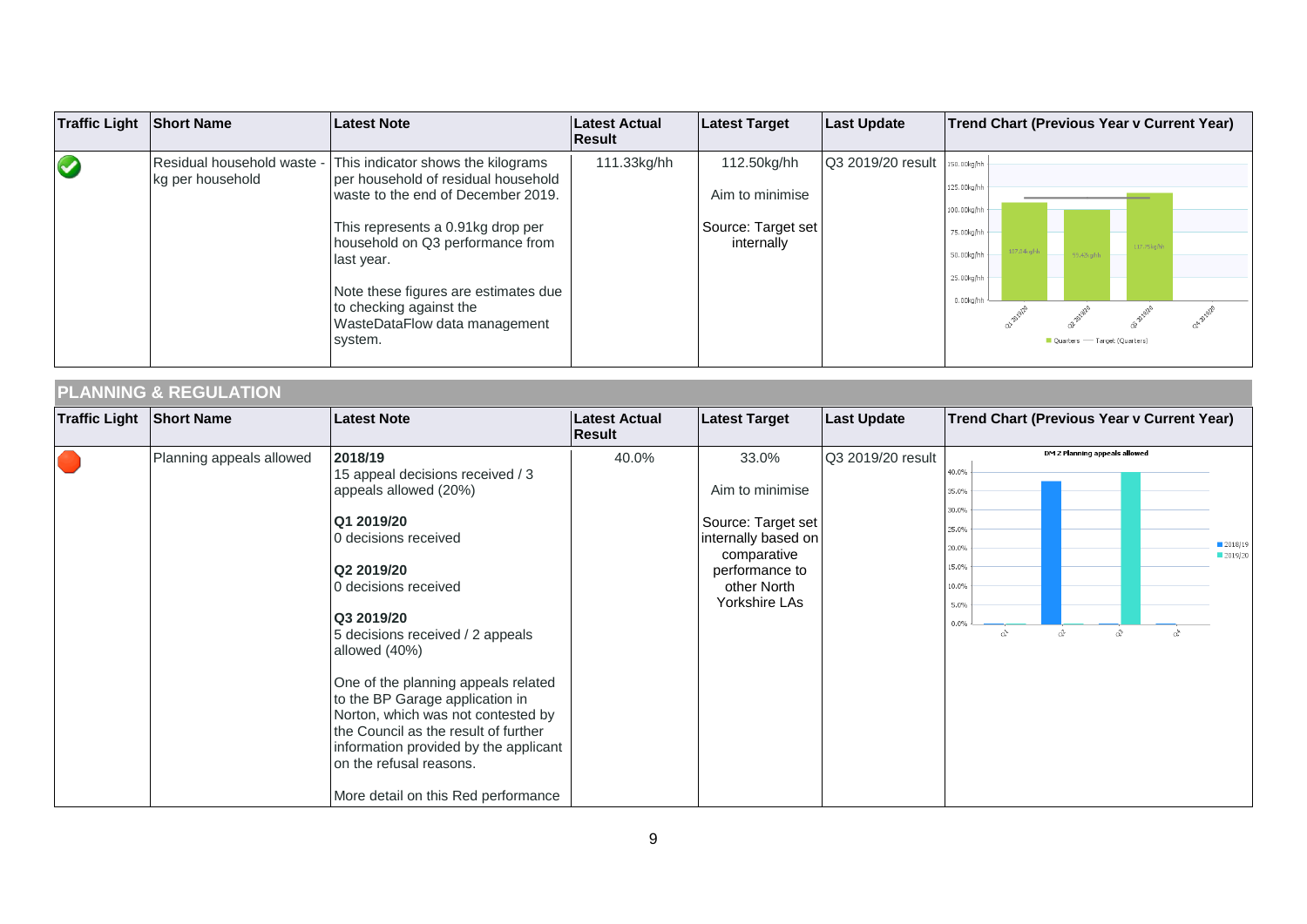| <b>Traffic Light Short Name</b> |                                                | Latest Note                                                                                                                                                                                                                                                                                                           | Latest Actual<br><b>Result</b> | <b>Latest Target</b>                                               | <b>Last Update</b> | Trend Chart (Previous Year v Current Year)                                                                                                                                |
|---------------------------------|------------------------------------------------|-----------------------------------------------------------------------------------------------------------------------------------------------------------------------------------------------------------------------------------------------------------------------------------------------------------------------|--------------------------------|--------------------------------------------------------------------|--------------------|---------------------------------------------------------------------------------------------------------------------------------------------------------------------------|
| $\bigcirc$                      | Residual household waste -<br>kg per household | This indicator shows the kilograms<br>per household of residual household<br>waste to the end of December 2019.<br>This represents a 0.91kg drop per<br>household on Q3 performance from<br>last year.<br>Note these figures are estimates due<br>to checking against the<br>WasteDataFlow data management<br>system. | 111.33kg/hh                    | 112.50kg/hh<br>Aim to minimise<br>Source: Target set<br>internally | Q3 2019/20 result  | 150.00kg/hh<br>125.00kg/hh<br>100.00kg/hh<br>75.00kg/hh<br>117.75kg/hh<br>nz.nake/h<br>50.00kg/hh<br>99.42kg/h<br>25.00kg/hh<br>0.00kg/hh<br>Quarters — Target (Quarters) |

# **PLANNING & REGULATION**

| <b>Traffic Light</b> | <b>Short Name</b>        | <b>Latest Note</b>                                                                                                                                                                                                                                                                                                                                                                                                                                                                     | Latest Actual<br>Result | <b>Latest Target</b>                                                                                                                   | <b>Last Update</b> |                                                                             |   |                                    |   | Trend Chart (Previous Year v Current Year) |                      |
|----------------------|--------------------------|----------------------------------------------------------------------------------------------------------------------------------------------------------------------------------------------------------------------------------------------------------------------------------------------------------------------------------------------------------------------------------------------------------------------------------------------------------------------------------------|-------------------------|----------------------------------------------------------------------------------------------------------------------------------------|--------------------|-----------------------------------------------------------------------------|---|------------------------------------|---|--------------------------------------------|----------------------|
|                      | Planning appeals allowed | 2018/19<br>15 appeal decisions received / 3<br>appeals allowed (20%)<br>Q1 2019/20<br>0 decisions received<br>Q2 2019/20<br>0 decisions received<br>Q3 2019/20<br>5 decisions received / 2 appeals<br>allowed (40%)<br>One of the planning appeals related<br>to the BP Garage application in<br>Norton, which was not contested by<br>the Council as the result of further<br>information provided by the applicant<br>on the refusal reasons.<br>More detail on this Red performance | 40.0%                   | 33.0%<br>Aim to minimise<br>Source: Target set<br>internally based on<br>comparative<br>performance to<br>other North<br>Yorkshire LAs | Q3 2019/20 result  | 40.0%<br>35.0%<br>30.0%<br>25.0%<br>20.0%<br>15.0%<br>10.0%<br>5.0%<br>0.0% | े | DM 2 Planning appeals allowed<br>â | â | $\alpha^{\triangleright}$                  | ■ 2018/19<br>2019/20 |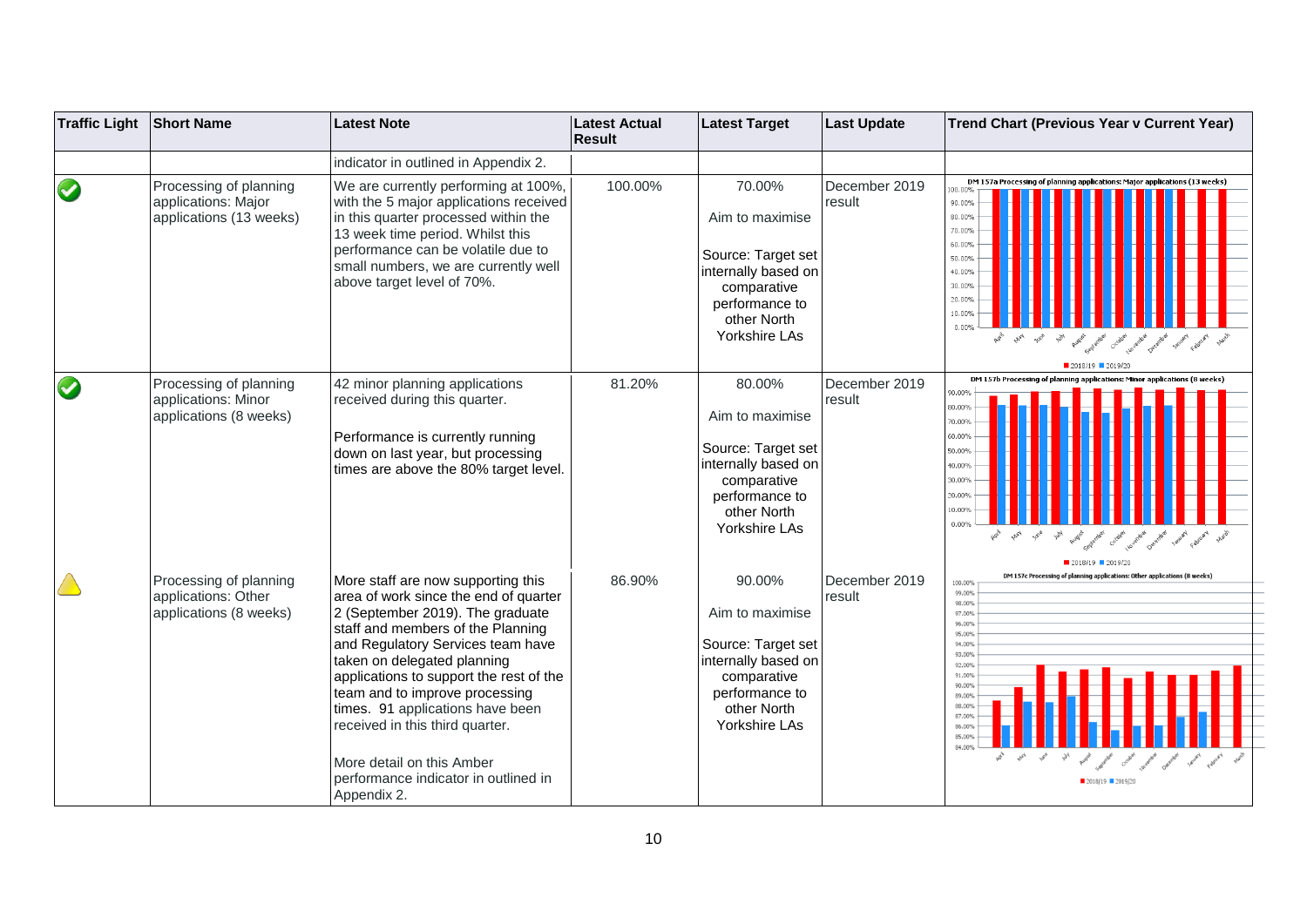| <b>Traffic Light</b> | <b>Short Name</b>                                                        | <b>Latest Note</b>                                                                                                                                                                                                                                                                                                                                                                                                                                               | <b>Latest Actual</b><br>Result | <b>Latest Target</b>                                                                                                                    | <b>Last Update</b>      | <b>Trend Chart (Previous Year v Current Year)</b>                                                                                                                                                                                                                        |
|----------------------|--------------------------------------------------------------------------|------------------------------------------------------------------------------------------------------------------------------------------------------------------------------------------------------------------------------------------------------------------------------------------------------------------------------------------------------------------------------------------------------------------------------------------------------------------|--------------------------------|-----------------------------------------------------------------------------------------------------------------------------------------|-------------------------|--------------------------------------------------------------------------------------------------------------------------------------------------------------------------------------------------------------------------------------------------------------------------|
|                      |                                                                          | indicator in outlined in Appendix 2.                                                                                                                                                                                                                                                                                                                                                                                                                             |                                |                                                                                                                                         |                         |                                                                                                                                                                                                                                                                          |
| $\bullet$            | Processing of planning<br>applications: Major<br>applications (13 weeks) | We are currently performing at 100%,<br>with the 5 major applications received<br>in this quarter processed within the<br>13 week time period. Whilst this<br>performance can be volatile due to<br>small numbers, we are currently well<br>above target level of 70%.                                                                                                                                                                                           | 100.00%                        | 70.00%<br>Aim to maximise<br>Source: Target set<br>internally based on<br>comparative<br>performance to<br>other North<br>Yorkshire LAs | December 2019<br>result | DM 157a Processing of planning applications: Major applications (13 weeks)<br>90.00<br>80.00%<br>70.00%<br>60.00%<br>50.00%<br>40.00%<br>30.00%<br>20.00%<br>10.009<br>$0.00^{\circ}$                                                                                    |
| $\bigcirc$           | Processing of planning<br>applications: Minor<br>applications (8 weeks)  | 42 minor planning applications<br>received during this quarter.<br>Performance is currently running<br>down on last year, but processing<br>times are above the 80% target level.                                                                                                                                                                                                                                                                                | 81.20%                         | 80.00%<br>Aim to maximise<br>Source: Target set<br>internally based on<br>comparative<br>performance to<br>other North<br>Yorkshire LAs | December 2019<br>result | DM 157b Processing of pla<br>90.00%<br>80.00%<br>70.00%<br>60.00%<br>50.00%<br>40.00%<br>30.00%<br>20.00%<br>10.00%<br>0.00%<br>August ember<br>Cooley levering Osterna<br>$2018/19$ 2019/2                                                                              |
|                      | Processing of planning<br>applications: Other<br>applications (8 weeks)  | More staff are now supporting this<br>area of work since the end of quarter<br>2 (September 2019). The graduate<br>staff and members of the Planning<br>and Regulatory Services team have<br>taken on delegated planning<br>applications to support the rest of the<br>team and to improve processing<br>times. 91 applications have been<br>received in this third quarter.<br>More detail on this Amber<br>performance indicator in outlined in<br>Appendix 2. | 86.90%                         | 90.00%<br>Aim to maximise<br>Source: Target set<br>internally based on<br>comparative<br>performance to<br>other North<br>Yorkshire LAs | December 2019<br>result | DM 157c Processing of planning applications: Other applications (8 weeks)<br>100.00%<br>99.00%<br>98.00%<br>97.00%<br>96,00%<br>95.00%<br>94.00%<br>93.00%<br>92.00%<br>91.00%<br>90.00%<br>89.00%<br>88.009<br>87.009<br>86.009<br>85.00%<br>84.00<br>$2018/19$ 2019/20 |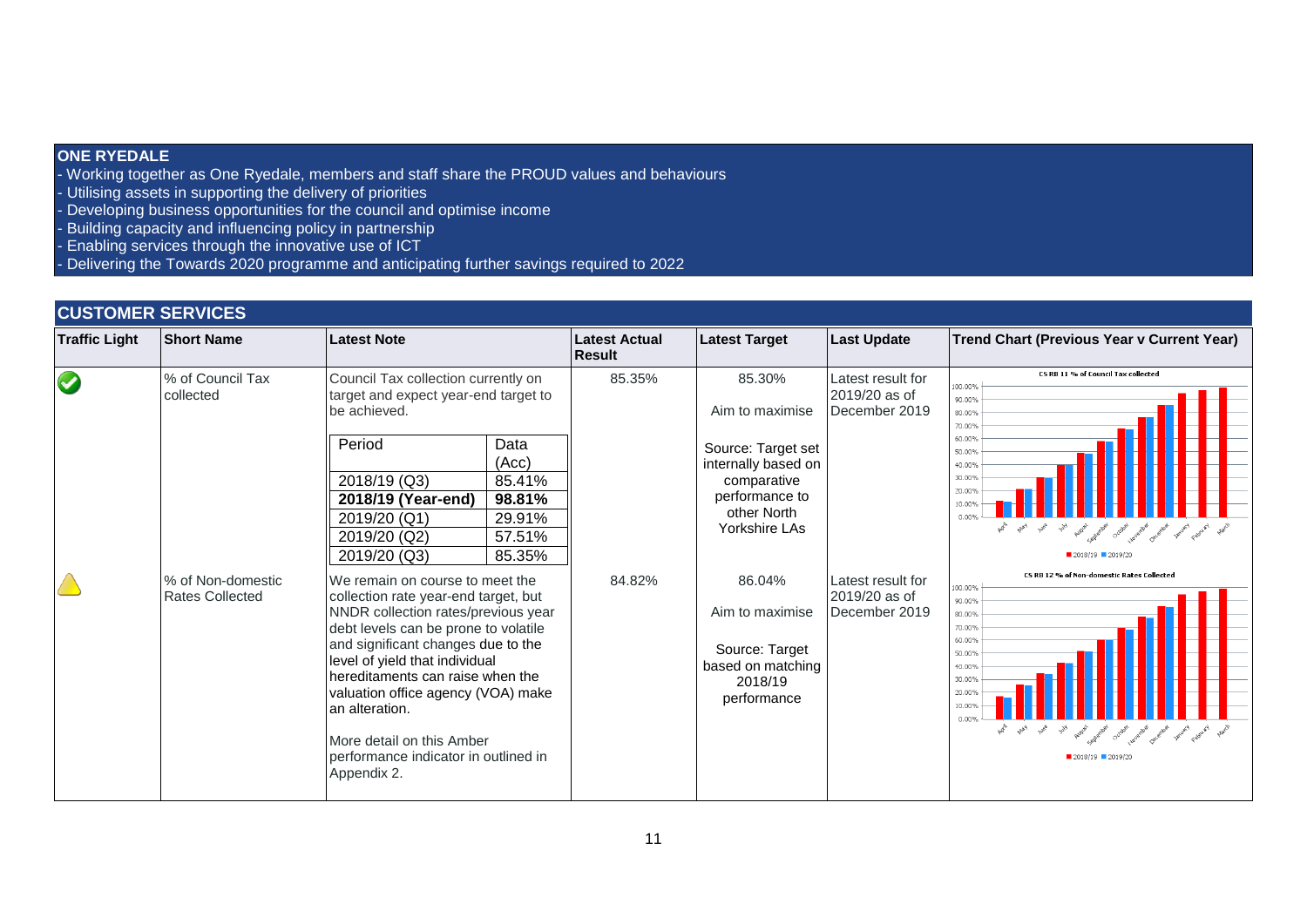### **ONE RYEDALE**

- Working together as One Ryedale, members and staff share the PROUD values and behaviours
- Utilising assets in supporting the delivery of priorities
- Developing business opportunities for the council and optimise income
- Building capacity and influencing policy in partnership
- Enabling services through the innovative use of ICT
- Delivering the Towards 2020 programme and anticipating further savings required to 2022

## **CUSTOMER SERVICES**

| <b>Traffic Light</b> | <b>Short Name</b>                           | <b>Latest Note</b>                                                                                                                                                                                                                                                                                                                                                                                             | Latest Actual<br>Result | <b>Latest Target</b>                                                                                                                    | <b>Last Update</b>                                  | <b>Trend Chart (Previous Year v Current Year)</b>                                                                                                                                                                                                                      |
|----------------------|---------------------------------------------|----------------------------------------------------------------------------------------------------------------------------------------------------------------------------------------------------------------------------------------------------------------------------------------------------------------------------------------------------------------------------------------------------------------|-------------------------|-----------------------------------------------------------------------------------------------------------------------------------------|-----------------------------------------------------|------------------------------------------------------------------------------------------------------------------------------------------------------------------------------------------------------------------------------------------------------------------------|
| S                    | % of Council Tax<br>collected               | Council Tax collection currently on<br>target and expect year-end target to<br>be achieved.<br>Period<br>Data<br>(Acc)<br>2018/19 (Q3)<br>85.41%<br>2018/19 (Year-end)<br>98.81%<br>2019/20 (Q1)<br>29.91%<br>2019/20 (Q2)<br>57.51%<br>2019/20 (Q3)<br>85.35%                                                                                                                                                 | 85.35%                  | 85.30%<br>Aim to maximise<br>Source: Target set<br>internally based on<br>comparative<br>performance to<br>other North<br>Yorkshire LAs | Latest result for<br>2019/20 as of<br>December 2019 | CS RB 11 % of Council Tax collected<br>100.00%<br>90.00%<br>80.00%<br>70.00%<br>60.00%<br>50.00%<br>40.00%<br>30.00%<br>20.00%<br>10.00<br>0.00%<br>Ask when you you have advertised output a control of the project point of the<br>■ 2018/19 ■ 2019/20               |
|                      | % of Non-domestic<br><b>Rates Collected</b> | We remain on course to meet the<br>collection rate year-end target, but<br>NNDR collection rates/previous year<br>debt levels can be prone to volatile<br>and significant changes due to the<br>level of yield that individual<br>hereditaments can raise when the<br>valuation office agency (VOA) make<br>an alteration.<br>More detail on this Amber<br>performance indicator in outlined in<br>Appendix 2. | 84.82%                  | 86.04%<br>Aim to maximise<br>Source: Target<br>based on matching<br>2018/19<br>performance                                              | Latest result for<br>2019/20 as of<br>December 2019 | CS RB 12 % of Non-domestic Rates Collected<br>100.00%<br>90.00%<br>80.00%<br>70.00%<br>60.00%<br>50.00%<br>40.00%<br>30.00%<br>20.009<br>0.00%<br>and what you will have a special control control problem and the problem of the special state<br>■ 2018/19 ■ 2019/20 |